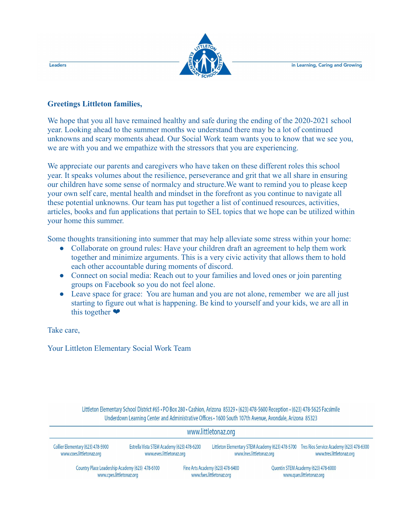in Learning, Caring and Growing



## **Greetings Littleton families,**

We hope that you all have remained healthy and safe during the ending of the 2020-2021 school year. Looking ahead to the summer months we understand there may be a lot of continued unknowns and scary moments ahead. Our Social Work team wants you to know that we see you, we are with you and we empathize with the stressors that you are experiencing.

We appreciate our parents and caregivers who have taken on these different roles this school year. It speaks volumes about the resilience, perseverance and grit that we all share in ensuring our children have some sense of normalcy and structure.We want to remind you to please keep your own self care, mental health and mindset in the forefront as you continue to navigate all these potential unknowns. Our team has put together a list of continued resources, activities, articles, books and fun applications that pertain to SEL topics that we hope can be utilized within your home this summer.

Some thoughts transitioning into summer that may help alleviate some stress within your home:

- Collaborate on ground rules: Have your children draft an agreement to help them work together and minimize arguments. This is a very civic activity that allows them to hold each other accountable during moments of discord.
- Connect on social media: Reach out to your families and loved ones or join parenting groups on Facebook so you do not feel alone.
- Leave space for grace: You are human and you are not alone, remember we are all just starting to figure out what is happening. Be kind to yourself and your kids, we are all in this together ❤

Take care,

Your Littleton Elementary Social Work Team

Littleton Elementary School District #65 · PO Box 280 · Cashion, Arizona 85329 · (623) 478-5600 Reception · (623) 478-5625 Facsimile Underdown Learning Center and Administrative Offices · 1600 South 107th Avenue, Avondale, Arizona 85323

| www.littletonaz.org                             |                                            |                                  |                                                  |                                     |                                          |  |  |
|-------------------------------------------------|--------------------------------------------|----------------------------------|--------------------------------------------------|-------------------------------------|------------------------------------------|--|--|
| Collier Elementary (623) 478-5900               | Estrella Vista STEM Academy (623) 478-6200 |                                  | Littleton Elementary STEM Academy (623) 478-5700 |                                     | Tres Rios Service Academy (623) 478-6300 |  |  |
| www.coes.littletonaz.org                        | www.eves.littletonaz.org                   |                                  | www.lnes.littletonaz.org                         |                                     | www.tres.littletonaz.org                 |  |  |
| Country Place Leadership Academy (623) 478-6100 |                                            | Fine Arts Academy (623) 478-6400 |                                                  | Quentin STEM Academy (623) 478-6000 |                                          |  |  |
| www.cpes.littletonaz.org                        |                                            | www.faes.littletonaz.org         |                                                  | www.ques.littletonaz.org            |                                          |  |  |

Leaders